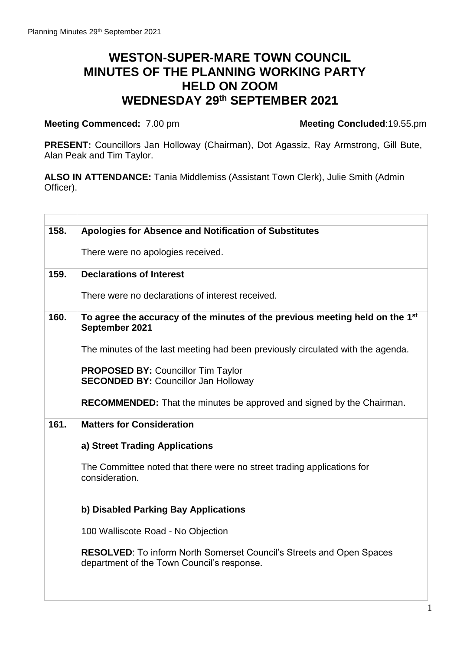## **WESTON-SUPER-MARE TOWN COUNCIL MINUTES OF THE PLANNING WORKING PARTY HELD ON ZOOM WEDNESDAY 29 th SEPTEMBER 2021**

**Meeting Commenced:** 7.00 pmxxxxxxxxxxxxxxxxxxxxxxxxxx**Meeting Concluded**:19.55.pm

**PRESENT:** Councillors Jan Holloway (Chairman), Dot Agassiz, Ray Armstrong, Gill Bute, Alan Peak and Tim Taylor.

**ALSO IN ATTENDANCE:** Tania Middlemiss (Assistant Town Clerk), Julie Smith (Admin Officer).

| 158. | Apologies for Absence and Notification of Substitutes                                                                     |
|------|---------------------------------------------------------------------------------------------------------------------------|
|      | There were no apologies received.                                                                                         |
| 159. | <b>Declarations of Interest</b>                                                                                           |
|      | There were no declarations of interest received.                                                                          |
| 160. | To agree the accuracy of the minutes of the previous meeting held on the 1 <sup>st</sup><br>September 2021                |
|      | The minutes of the last meeting had been previously circulated with the agenda.                                           |
|      | <b>PROPOSED BY: Councillor Tim Taylor</b><br><b>SECONDED BY: Councillor Jan Holloway</b>                                  |
|      | <b>RECOMMENDED:</b> That the minutes be approved and signed by the Chairman.                                              |
| 161. | <b>Matters for Consideration</b>                                                                                          |
|      | a) Street Trading Applications                                                                                            |
|      | The Committee noted that there were no street trading applications for<br>consideration.                                  |
|      | b) Disabled Parking Bay Applications                                                                                      |
|      | 100 Walliscote Road - No Objection                                                                                        |
|      | <b>RESOLVED:</b> To inform North Somerset Council's Streets and Open Spaces<br>department of the Town Council's response. |
|      |                                                                                                                           |